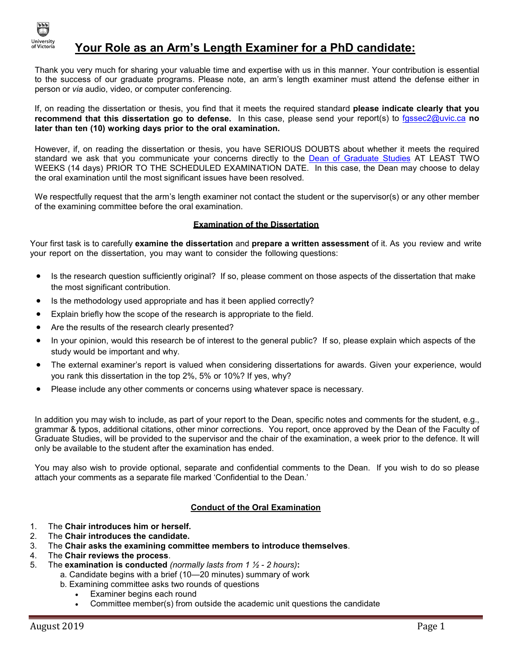

## **Your Role as an Arm's Length Examiner for a PhD candidate:**

Thank you very much for sharing your valuable time and expertise with us in this manner. Your contribution is essential to the success of our graduate programs. Please note, an arm's length examiner must attend the defense either in person or *via* audio, video, or computer conferencing.

If, on reading the dissertation or thesis, you find that it meets the required standard **please indicate clearly that you recommend that this dissertation go to defense.** In this case, please send your report(s) to [fgssec2@uvic.ca](mailto:fgssec2@uvic.ca) **no later than ten (10) working days prior to the oral examination.**

However, if, on reading the dissertation or thesis, you have SERIOUS DOUBTS about whether it meets the required standard we ask that you communicate your concerns directly to the [Dean of Graduate Studies](mailto:graddean@uvic.ca) AT LEAST TWO WEEKS (14 days) PRIOR TO THE SCHEDULED EXAMINATION DATE. In this case, the Dean may choose to delay the oral examination until the most significant issues have been resolved.

We respectfully request that the arm's length examiner not contact the student or the supervisor(s) or any other member of the examining committee before the oral examination.

#### **Examination of the Dissertation**

Your first task is to carefully **examine the dissertation** and **prepare a written assessment** of it. As you review and write your report on the dissertation, you may want to consider the following questions:

- Is the research question sufficiently original? If so, please comment on those aspects of the dissertation that make the most significant contribution.
- Is the methodology used appropriate and has it been applied correctly?
- Explain briefly how the scope of the research is appropriate to the field.
- Are the results of the research clearly presented?
- In your opinion, would this research be of interest to the general public? If so, please explain which aspects of the study would be important and why.
- The external examiner's report is valued when considering dissertations for awards. Given your experience, would you rank this dissertation in the top 2%, 5% or 10%? If yes, why?
- Please include any other comments or concerns using whatever space is necessary.

In addition you may wish to include, as part of your report to the Dean, specific notes and comments for the student, e.g., grammar & typos, additional citations, other minor corrections. You report, once approved by the Dean of the Faculty of Graduate Studies, will be provided to the supervisor and the chair of the examination, a week prior to the defence. It will only be available to the student after the examination has ended.

You may also wish to provide optional, separate and confidential comments to the Dean. If you wish to do so please attach your comments as a separate file marked 'Confidential to the Dean.'

## **Conduct of the Oral Examination**

- 1. The **Chair introduces him or herself.**
- 2. The **Chair introduces the candidate.**
- 3. The **Chair asks the examining committee members to introduce themselves**.
- 4. The **Chair reviews the process**.
- 5. The **examination is conducted** *(normally lasts from 1 ½ - 2 hours)***:**
	- a. Candidate begins with a brief (10—20 minutes) summary of work
		- b. Examining committee asks two rounds of questions
			- Examiner begins each round
			- Committee member(s) from outside the academic unit questions the candidate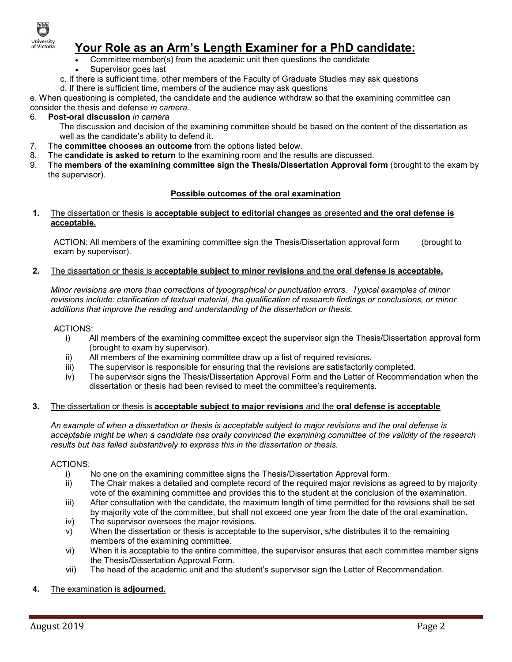

# **Your Role as an Arm's Length Examiner for a PhD candidate:**

- Committee member(s) from the academic unit then questions the candidate Supervisor goes last
- c. If there is sufficient time, other members of the Faculty of Graduate Studies may ask questions
- d. If there is sufficient time, members of the audience may ask questions

e. When questioning is completed, the candidate and the audience withdraw so that the examining committee can consider the thesis and defense *in camera.*

## 6. **Post-oral discussion** *in camera*

The discussion and decision of the examining committee should be based on the content of the dissertation as well as the candidate's ability to defend it.

- 7. The **committee chooses an outcome** from the options listed below.
- 8. The **candidate is asked to return** to the examining room and the results are discussed.
- 9. The **members of the examining committee sign the Thesis/Dissertation Approval form** (brought to the exam by the supervisor).

#### **Possible outcomes of the oral examination**

#### **1.** The dissertation or thesis is **acceptable subject to editorial changes** as presented **and the oral defense is acceptable.**

ACTION: All members of the examining committee sign the Thesis/Dissertation approval form (brought to exam by supervisor).

#### **2.** The dissertation or thesis is **acceptable subject to minor revisions** and the **oral defense is acceptable.**

*Minor revisions are more than corrections of typographical or punctuation errors. Typical examples of minor revisions include: clarification of textual material, the qualification of research findings or conclusions, or minor additions that improve the reading and understanding of the dissertation or thesis.*

#### ACTIONS:

- i) All members of the examining committee except the supervisor sign the Thesis/Dissertation approval form (brought to exam by supervisor).
- ii) All members of the examining committee draw up a list of required revisions.
- iii) The supervisor is responsible for ensuring that the revisions are satisfactorily completed.<br>iv) The supervisor signs the Thesis/Dissertation Approval Form and the Letter of Recommer
- The supervisor signs the Thesis/Dissertation Approval Form and the Letter of Recommendation when the dissertation or thesis had been revised to meet the committee's requirements.

#### **3.** The dissertation or thesis is **acceptable subject to major revisions** and the **oral defense is acceptable**

*An example of when a dissertation or thesis is acceptable subject to major revisions and the oral defense is acceptable might be when a candidate has orally convinced the examining committee of the validity of the research results but has failed substantively to express this in the dissertation or thesis.*

#### ACTIONS:

- i) No one on the examining committee signs the Thesis/Dissertation Approval form.
- ii) The Chair makes a detailed and complete record of the required major revisions as agreed to by majority vote of the examining committee and provides this to the student at the conclusion of the examination.
- iii) After consultation with the candidate, the maximum length of time permitted for the revisions shall be set by majority vote of the committee, but shall not exceed one year from the date of the oral examination.
- iv) The supervisor oversees the major revisions.
- v) When the dissertation or thesis is acceptable to the supervisor, s/he distributes it to the remaining members of the examining committee.
- vi) When it is acceptable to the entire committee, the supervisor ensures that each committee member signs the Thesis/Dissertation Approval Form.
- vii) The head of the academic unit and the student's supervisor sign the Letter of Recommendation.

## **4.** The examination is **adjourned.**